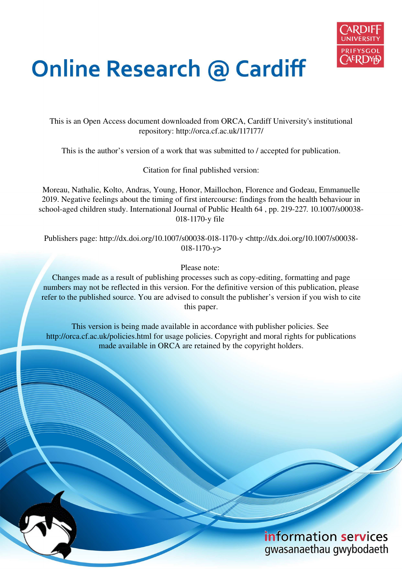

# **Online Research @ Cardiff**

This is an Open Access document downloaded from ORCA, Cardiff University's institutional repository: http://orca.cf.ac.uk/117177/

This is the author's version of a work that was submitted to / accepted for publication.

Citation for final published version:

Moreau, Nathalie, Kolto, Andras, Young, Honor, Maillochon, Florence and Godeau, Emmanuelle 2019. Negative feelings about the timing of first intercourse: findings from the health behaviour in school-aged children study. International Journal of Public Health 64 , pp. 219-227. 10.1007/s00038- 018-1170-y file

Publishers page: http://dx.doi.org/10.1007/s00038-018-1170-y <http://dx.doi.org/10.1007/s00038- 018-1170-y>

Please note:

Changes made as a result of publishing processes such as copy-editing, formatting and page numbers may not be reflected in this version. For the definitive version of this publication, please refer to the published source. You are advised to consult the publisher's version if you wish to cite this paper.

This version is being made available in accordance with publisher policies. See http://orca.cf.ac.uk/policies.html for usage policies. Copyright and moral rights for publications made available in ORCA are retained by the copyright holders.

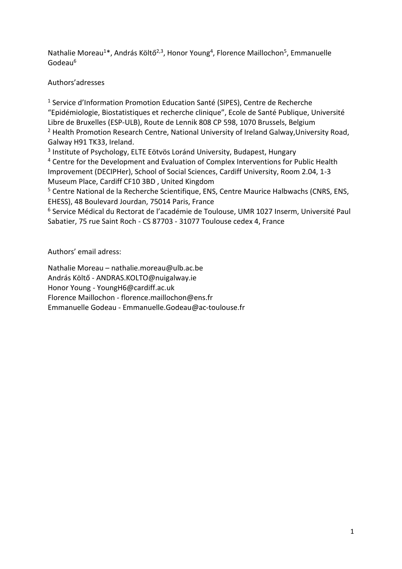Nathalie Moreau<sup>1\*</sup>, András Költő<sup>2,3</sup>, Honor Young<sup>4</sup>, Florence Maillochon<sup>5</sup>, Emmanuelle Godeau<sup>6</sup>

# Authors'adresses

<sup>1</sup> Service d'Information Promotion Education Santé (SIPES), Centre de Recherche "Epidémiologie, Biostatistiques et recherche clinique", Ecole de Santé Publique, Université Libre de Bruxelles (ESP-ULB), Route de Lennik 808 CP 598, 1070 Brussels, Belgium <sup>2</sup> Health Promotion Research Centre, National University of Ireland Galway, University Road, Galway H91 TK33, Ireland.

<sup>3</sup> Institute of Psychology, ELTE Eötvös Loránd University, Budapest, Hungary <sup>4</sup> Centre for the Development and Evaluation of Complex Interventions for Public Health Improvement (DECIPHer), School of Social Sciences, Cardiff University, Room 2.04, 1-3 Museum Place, Cardiff CF10 3BD , United Kingdom

<sup>5</sup> Centre National de la Recherche Scientifique, ENS, Centre Maurice Halbwachs (CNRS, ENS, EHESS), 48 Boulevard Jourdan, 75014 Paris, France

<sup>6</sup> Service Médical du Rectorat de l'académie de Toulouse, UMR 1027 Inserm, Université Paul Sabatier, 75 rue Saint Roch - CS 87703 - 31077 Toulouse cedex 4, France

Authors' email adress:

Nathalie Moreau – nathalie.moreau@ulb.ac.be András Költő - ANDRAS.KOLTO@nuigalway.ie Honor Young - YoungH6@cardiff.ac.uk Florence Maillochon - florence.maillochon@ens.fr Emmanuelle Godeau - Emmanuelle.Godeau@ac-toulouse.fr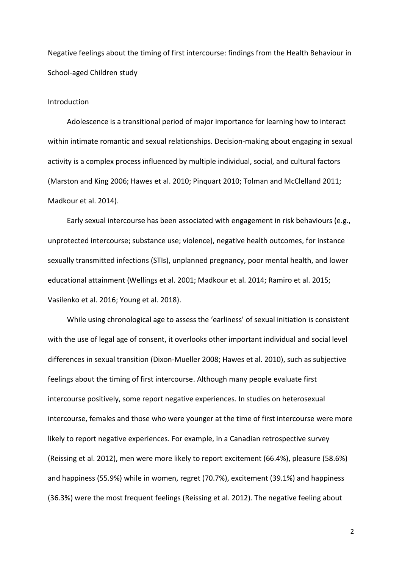Negative feelings about the timing of first intercourse: findings from the Health Behaviour in School-aged Children study

#### Introduction

Adolescence is a transitional period of major importance for learning how to interact within intimate romantic and sexual relationships. Decision-making about engaging in sexual activity is a complex process influenced by multiple individual, social, and cultural factors (Marston and King 2006; Hawes et al. 2010; Pinquart 2010; Tolman and McClelland 2011; Madkour et al. 2014).

Early sexual intercourse has been associated with engagement in risk behaviours (e.g., unprotected intercourse; substance use; violence), negative health outcomes, for instance sexually transmitted infections (STIs), unplanned pregnancy, poor mental health, and lower educational attainment (Wellings et al. 2001; Madkour et al. 2014; Ramiro et al. 2015; Vasilenko et al. 2016; Young et al. 2018).

While using chronological age to assess the 'earliness' of sexual initiation is consistent with the use of legal age of consent, it overlooks other important individual and social level differences in sexual transition (Dixon-Mueller 2008; Hawes et al. 2010), such as subjective feelings about the timing of first intercourse. Although many people evaluate first intercourse positively, some report negative experiences. In studies on heterosexual intercourse, females and those who were younger at the time of first intercourse were more likely to report negative experiences. For example, in a Canadian retrospective survey (Reissing et al. 2012), men were more likely to report excitement (66.4%), pleasure (58.6%) and happiness (55.9%) while in women, regret (70.7%), excitement (39.1%) and happiness (36.3%) were the most frequent feelings (Reissing et al. 2012). The negative feeling about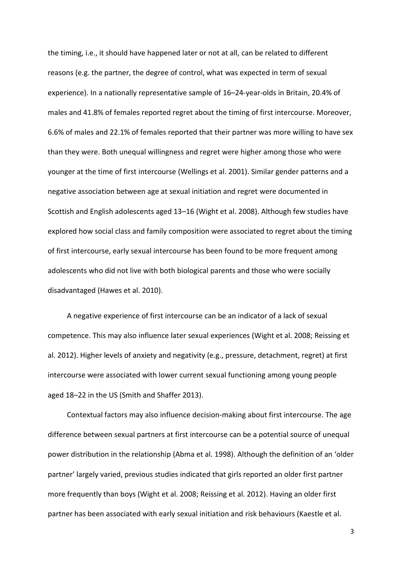the timing, i.e., it should have happened later or not at all, can be related to different reasons (e.g. the partner, the degree of control, what was expected in term of sexual experience). In a nationally representative sample of 16–24-year-olds in Britain, 20.4% of males and 41.8% of females reported regret about the timing of first intercourse. Moreover, 6.6% of males and 22.1% of females reported that their partner was more willing to have sex than they were. Both unequal willingness and regret were higher among those who were younger at the time of first intercourse (Wellings et al. 2001). Similar gender patterns and a negative association between age at sexual initiation and regret were documented in Scottish and English adolescents aged 13–16 (Wight et al. 2008). Although few studies have explored how social class and family composition were associated to regret about the timing of first intercourse, early sexual intercourse has been found to be more frequent among adolescents who did not live with both biological parents and those who were socially disadvantaged (Hawes et al. 2010).

A negative experience of first intercourse can be an indicator of a lack of sexual competence. This may also influence later sexual experiences (Wight et al. 2008; Reissing et al. 2012). Higher levels of anxiety and negativity (e.g., pressure, detachment, regret) at first intercourse were associated with lower current sexual functioning among young people aged 18–22 in the US (Smith and Shaffer 2013).

Contextual factors may also influence decision-making about first intercourse. The age difference between sexual partners at first intercourse can be a potential source of unequal power distribution in the relationship (Abma et al. 1998). Although the definition of an 'older partner' largely varied, previous studies indicated that girls reported an older first partner more frequently than boys (Wight et al. 2008; Reissing et al. 2012). Having an older first partner has been associated with early sexual initiation and risk behaviours (Kaestle et al.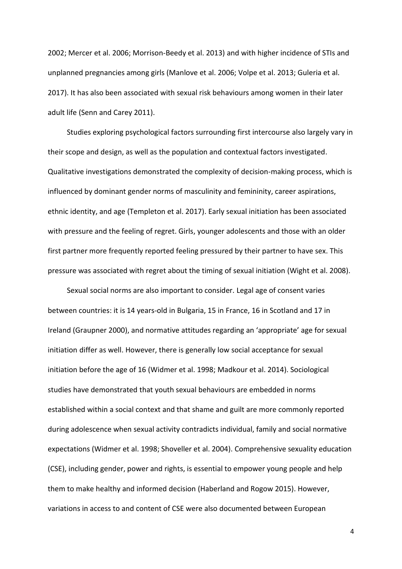2002; Mercer et al. 2006; Morrison-Beedy et al. 2013) and with higher incidence of STIs and unplanned pregnancies among girls (Manlove et al. 2006; Volpe et al. 2013; Guleria et al. 2017). It has also been associated with sexual risk behaviours among women in their later adult life (Senn and Carey 2011).

Studies exploring psychological factors surrounding first intercourse also largely vary in their scope and design, as well as the population and contextual factors investigated. Qualitative investigations demonstrated the complexity of decision-making process, which is influenced by dominant gender norms of masculinity and femininity, career aspirations, ethnic identity, and age (Templeton et al. 2017). Early sexual initiation has been associated with pressure and the feeling of regret. Girls, younger adolescents and those with an older first partner more frequently reported feeling pressured by their partner to have sex. This pressure was associated with regret about the timing of sexual initiation (Wight et al. 2008).

Sexual social norms are also important to consider. Legal age of consent varies between countries: it is 14 years-old in Bulgaria, 15 in France, 16 in Scotland and 17 in Ireland (Graupner 2000), and normative attitudes regarding an 'appropriate' age for sexual initiation differ as well. However, there is generally low social acceptance for sexual initiation before the age of 16 (Widmer et al. 1998; Madkour et al. 2014). Sociological studies have demonstrated that youth sexual behaviours are embedded in norms established within a social context and that shame and guilt are more commonly reported during adolescence when sexual activity contradicts individual, family and social normative expectations (Widmer et al. 1998; Shoveller et al. 2004). Comprehensive sexuality education (CSE), including gender, power and rights, is essential to empower young people and help them to make healthy and informed decision (Haberland and Rogow 2015). However, variations in access to and content of CSE were also documented between European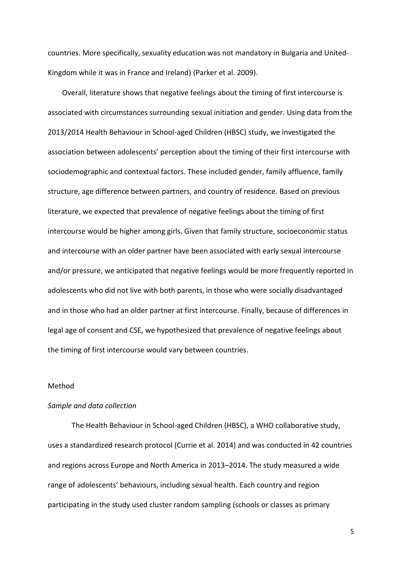countries. More specifically, sexuality education was not mandatory in Bulgaria and United-Kingdom while it was in France and Ireland) (Parker et al. 2009).

Overall, literature shows that negative feelings about the timing of first intercourse is associated with circumstances surrounding sexual initiation and gender. Using data from the 2013/2014 Health Behaviour in School-aged Children (HBSC) study, we investigated the association between adolescents' perception about the timing of their first intercourse with sociodemographic and contextual factors. These included gender, family affluence, family structure, age difference between partners, and country of residence. Based on previous literature, we expected that prevalence of negative feelings about the timing of first intercourse would be higher among girls. Given that family structure, socioeconomic status and intercourse with an older partner have been associated with early sexual intercourse and/or pressure, we anticipated that negative feelings would be more frequently reported in adolescents who did not live with both parents, in those who were socially disadvantaged and in those who had an older partner at first intercourse. Finally, because of differences in legal age of consent and CSE, we hypothesized that prevalence of negative feelings about the timing of first intercourse would vary between countries.

#### Method

#### *Sample and data collection*

The Health Behaviour in School-aged Children (HBSC), a WHO collaborative study, uses a standardized research protocol (Currie et al. 2014) and was conducted in 42 countries and regions across Europe and North America in 2013–2014. The study measured a wide range of adolescents' behaviours, including sexual health. Each country and region participating in the study used cluster random sampling (schools or classes as primary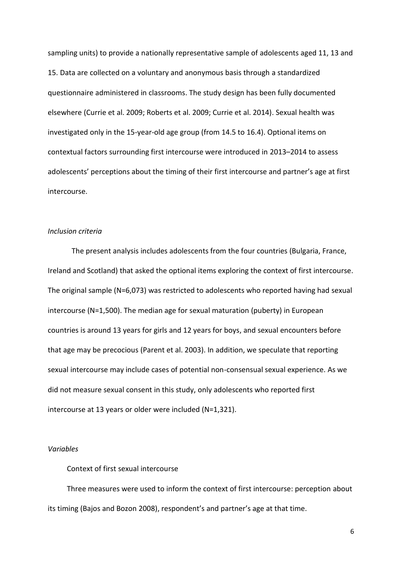sampling units) to provide a nationally representative sample of adolescents aged 11, 13 and 15. Data are collected on a voluntary and anonymous basis through a standardized questionnaire administered in classrooms. The study design has been fully documented elsewhere (Currie et al. 2009; Roberts et al. 2009; Currie et al. 2014). Sexual health was investigated only in the 15-year-old age group (from 14.5 to 16.4). Optional items on contextual factors surrounding first intercourse were introduced in 2013–2014 to assess adolescents' perceptions about the timing of their first intercourse and partner's age at first intercourse.

#### *Inclusion criteria*

The present analysis includes adolescents from the four countries (Bulgaria, France, Ireland and Scotland) that asked the optional items exploring the context of first intercourse. The original sample (N=6,073) was restricted to adolescents who reported having had sexual intercourse (N=1,500). The median age for sexual maturation (puberty) in European countries is around 13 years for girls and 12 years for boys, and sexual encounters before that age may be precocious (Parent et al. 2003). In addition, we speculate that reporting sexual intercourse may include cases of potential non-consensual sexual experience. As we did not measure sexual consent in this study, only adolescents who reported first intercourse at 13 years or older were included (N=1,321).

#### *Variables*

#### Context of first sexual intercourse

Three measures were used to inform the context of first intercourse: perception about its timing (Bajos and Bozon 2008), respondent's and partner's age at that time.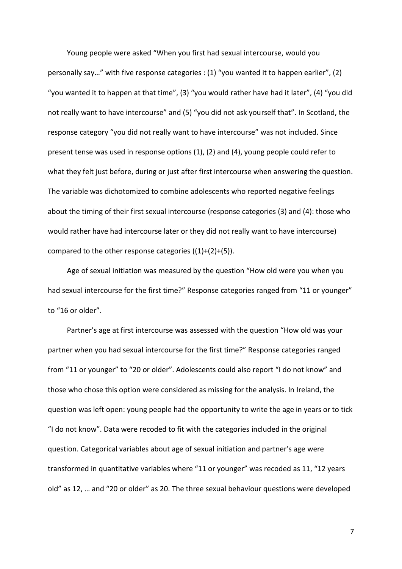Young people were asked "When you first had sexual intercourse, would you personally say..." with five response categories : (1) "you wanted it to happen earlier", (2) "you wanted it to happen at that time", (3) "you would rather have had it later", (4) "you did not really want to have intercourse" and (5) "you did not ask yourself that". In Scotland, the response category "you did not really want to have intercourse" was not included. Since present tense was used in response options (1), (2) and (4), young people could refer to what they felt just before, during or just after first intercourse when answering the question. The variable was dichotomized to combine adolescents who reported negative feelings about the timing of their first sexual intercourse (response categories (3) and (4): those who would rather have had intercourse later or they did not really want to have intercourse) compared to the other response categories  $((1)+(2)+(5))$ .

Age of sexual initiation was measured by the question "How old were you when you had sexual intercourse for the first time?<sup>"</sup> Response categories ranged from "11 or younger" to "16 or older".

Partner's age at first intercourse was assessed with the question "How old was your partner when you had sexual intercourse for the first time?<sup>"</sup> Response categories ranged from "11 or younger" to "20 or older". Adolescents could also report "I do not know" and those who chose this option were considered as missing for the analysis. In Ireland, the question was left open: young people had the opportunity to write the age in years or to tick "I do not know". Data were recoded to fit with the categories included in the original question. Categorical variables about age of sexual initiation and partner's age were transformed in quantitative variables where "11 or younger" was recoded as 11, "12 years old" as 12, ... and "20 or older" as 20. The three sexual behaviour questions were developed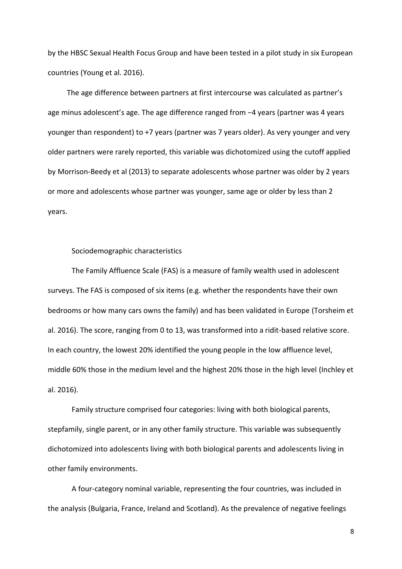by the HBSC Sexual Health Focus Group and have been tested in a pilot study in six European countries (Young et al. 2016).

The age difference between partners at first intercourse was calculated as partner's age minus adolescent's age. The age difference ranged from −4 years (partner was 4 years younger than respondent) to +7 years (partner was 7 years older). As very younger and very older partners were rarely reported, this variable was dichotomized using the cutoff applied by Morrison-Beedy et al (2013) to separate adolescents whose partner was older by 2 years or more and adolescents whose partner was younger, same age or older by less than 2 years.

#### Sociodemographic characteristics

The Family Affluence Scale (FAS) is a measure of family wealth used in adolescent surveys. The FAS is composed of six items (e.g. whether the respondents have their own bedrooms or how many cars owns the family) and has been validated in Europe (Torsheim et al. 2016). The score, ranging from 0 to 13, was transformed into a ridit-based relative score. In each country, the lowest 20% identified the young people in the low affluence level, middle 60% those in the medium level and the highest 20% those in the high level (Inchley et al. 2016).

Family structure comprised four categories: living with both biological parents, stepfamily, single parent, or in any other family structure. This variable was subsequently dichotomized into adolescents living with both biological parents and adolescents living in other family environments.

A four-category nominal variable, representing the four countries, was included in the analysis (Bulgaria, France, Ireland and Scotland). As the prevalence of negative feelings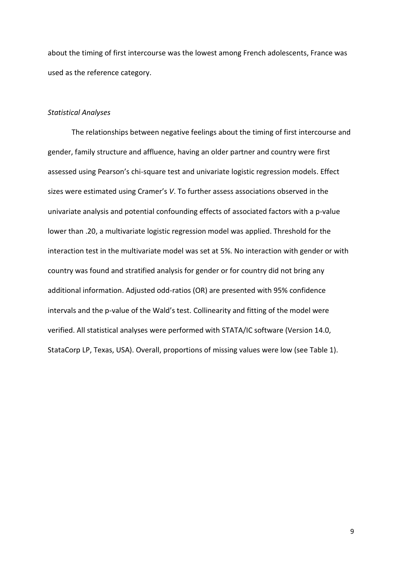about the timing of first intercourse was the lowest among French adolescents, France was used as the reference category.

#### *Statistical Analyses*

The relationships between negative feelings about the timing of first intercourse and gender, family structure and affluence, having an older partner and country were first assessed using Pearson's chi-square test and univariate logistic regression models. Effect sizes were estimated using Cramer's V. To further assess associations observed in the univariate analysis and potential confounding effects of associated factors with a p-value lower than .20, a multivariate logistic regression model was applied. Threshold for the interaction test in the multivariate model was set at 5%. No interaction with gender or with country was found and stratified analysis for gender or for country did not bring any additional information. Adjusted odd-ratios (OR) are presented with 95% confidence intervals and the p-value of the Wald's test. Collinearity and fitting of the model were verified. All statistical analyses were performed with STATA/IC software (Version 14.0, StataCorp LP, Texas, USA). Overall, proportions of missing values were low (see Table 1).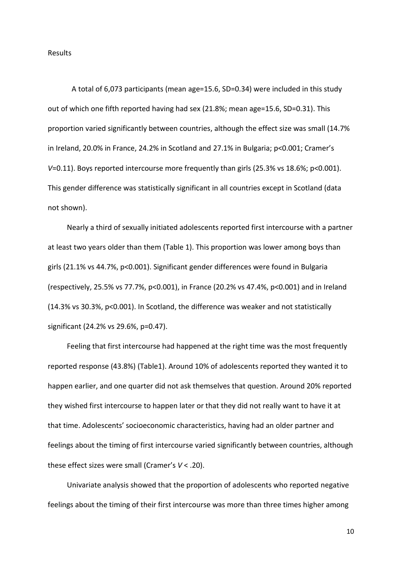Results

A total of 6,073 participants (mean age=15.6, SD=0.34) were included in this study out of which one fifth reported having had sex (21.8%; mean age=15.6, SD=0.31). This proportion varied significantly between countries, although the effect size was small (14.7% in Ireland, 20.0% in France, 24.2% in Scotland and 27.1% in Bulgaria; p<0.001; Cramer's *V*=0.11). Boys reported intercourse more frequently than girls (25.3% vs 18.6%; p<0.001). This gender difference was statistically significant in all countries except in Scotland (data not shown).

Nearly a third of sexually initiated adolescents reported first intercourse with a partner at least two years older than them (Table 1). This proportion was lower among boys than girls (21.1% vs 44.7%, p<0.001). Significant gender differences were found in Bulgaria (respectively, 25.5% vs 77.7%, p<0.001), in France (20.2% vs 47.4%, p<0.001) and in Ireland (14.3% vs 30.3%, p<0.001). In Scotland, the difference was weaker and not statistically significant (24.2% vs 29.6%, p=0.47).

Feeling that first intercourse had happened at the right time was the most frequently reported response (43.8%) (Table1). Around 10% of adolescents reported they wanted it to happen earlier, and one quarter did not ask themselves that question. Around 20% reported they wished first intercourse to happen later or that they did not really want to have it at that time. Adolescents' socioeconomic characteristics, having had an older partner and feelings about the timing of first intercourse varied significantly between countries, although these effect sizes were small (Cramer's  $V < .20$ ).

Univariate analysis showed that the proportion of adolescents who reported negative feelings about the timing of their first intercourse was more than three times higher among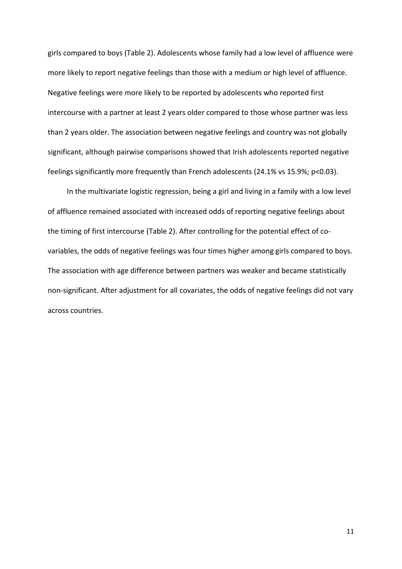girls compared to boys (Table 2). Adolescents whose family had a low level of affluence were more likely to report negative feelings than those with a medium or high level of affluence. Negative feelings were more likely to be reported by adolescents who reported first intercourse with a partner at least 2 years older compared to those whose partner was less than 2 years older. The association between negative feelings and country was not globally significant, although pairwise comparisons showed that Irish adolescents reported negative feelings significantly more frequently than French adolescents (24.1% vs 15.9%; p<0.03).

In the multivariate logistic regression, being a girl and living in a family with a low level of affluence remained associated with increased odds of reporting negative feelings about the timing of first intercourse (Table 2). After controlling for the potential effect of covariables, the odds of negative feelings was four times higher among girls compared to boys. The association with age difference between partners was weaker and became statistically non-significant. After adjustment for all covariates, the odds of negative feelings did not vary across countries.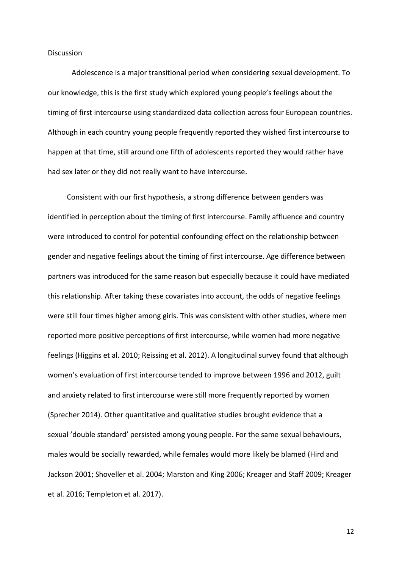#### **Discussion**

Adolescence is a major transitional period when considering sexual development. To our knowledge, this is the first study which explored young people's feelings about the timing of first intercourse using standardized data collection across four European countries. Although in each country young people frequently reported they wished first intercourse to happen at that time, still around one fifth of adolescents reported they would rather have had sex later or they did not really want to have intercourse.

Consistent with our first hypothesis, a strong difference between genders was identified in perception about the timing of first intercourse. Family affluence and country were introduced to control for potential confounding effect on the relationship between gender and negative feelings about the timing of first intercourse. Age difference between partners was introduced for the same reason but especially because it could have mediated this relationship. After taking these covariates into account, the odds of negative feelings were still four times higher among girls. This was consistent with other studies, where men reported more positive perceptions of first intercourse, while women had more negative feelings (Higgins et al. 2010; Reissing et al. 2012). A longitudinal survey found that although women's evaluation of first intercourse tended to improve between 1996 and 2012, guilt and anxiety related to first intercourse were still more frequently reported by women (Sprecher 2014). Other quantitative and qualitative studies brought evidence that a sexual 'double standard' persisted among young people. For the same sexual behaviours, males would be socially rewarded, while females would more likely be blamed (Hird and Jackson 2001; Shoveller et al. 2004; Marston and King 2006; Kreager and Staff 2009; Kreager et al. 2016; Templeton et al. 2017).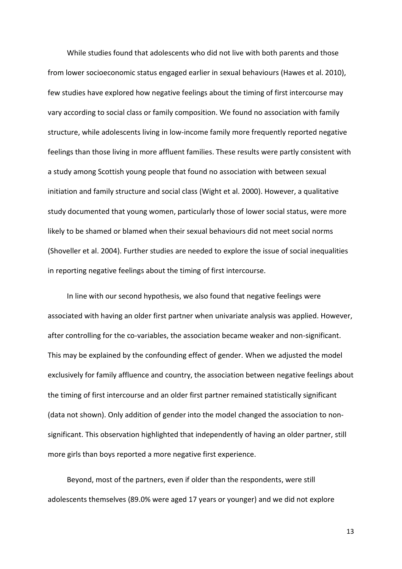While studies found that adolescents who did not live with both parents and those from lower socioeconomic status engaged earlier in sexual behaviours (Hawes et al. 2010), few studies have explored how negative feelings about the timing of first intercourse may vary according to social class or family composition. We found no association with family structure, while adolescents living in low-income family more frequently reported negative feelings than those living in more affluent families. These results were partly consistent with a study among Scottish young people that found no association with between sexual initiation and family structure and social class (Wight et al. 2000). However, a qualitative study documented that young women, particularly those of lower social status, were more likely to be shamed or blamed when their sexual behaviours did not meet social norms (Shoveller et al. 2004). Further studies are needed to explore the issue of social inequalities in reporting negative feelings about the timing of first intercourse.

In line with our second hypothesis, we also found that negative feelings were associated with having an older first partner when univariate analysis was applied. However, after controlling for the co-variables, the association became weaker and non-significant. This may be explained by the confounding effect of gender. When we adjusted the model exclusively for family affluence and country, the association between negative feelings about the timing of first intercourse and an older first partner remained statistically significant (data not shown). Only addition of gender into the model changed the association to nonsignificant. This observation highlighted that independently of having an older partner, still more girls than boys reported a more negative first experience.

Beyond, most of the partners, even if older than the respondents, were still adolescents themselves (89.0% were aged 17 years or younger) and we did not explore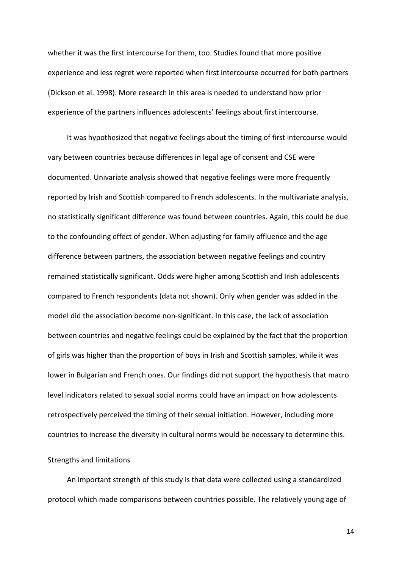whether it was the first intercourse for them, too. Studies found that more positive experience and less regret were reported when first intercourse occurred for both partners (Dickson et al. 1998). More research in this area is needed to understand how prior experience of the partners influences adolescents' feelings about first intercourse.

It was hypothesized that negative feelings about the timing of first intercourse would vary between countries because differences in legal age of consent and CSE were documented. Univariate analysis showed that negative feelings were more frequently reported by Irish and Scottish compared to French adolescents. In the multivariate analysis, no statistically significant difference was found between countries. Again, this could be due to the confounding effect of gender. When adjusting for family affluence and the age difference between partners, the association between negative feelings and country remained statistically significant. Odds were higher among Scottish and Irish adolescents compared to French respondents (data not shown). Only when gender was added in the model did the association become non-significant. In this case, the lack of association between countries and negative feelings could be explained by the fact that the proportion of girls was higher than the proportion of boys in Irish and Scottish samples, while it was lower in Bulgarian and French ones. Our findings did not support the hypothesis that macro level indicators related to sexual social norms could have an impact on how adolescents retrospectively perceived the timing of their sexual initiation. However, including more countries to increase the diversity in cultural norms would be necessary to determine this.

## Strengths and limitations

An important strength of this study is that data were collected using a standardized protocol which made comparisons between countries possible. The relatively young age of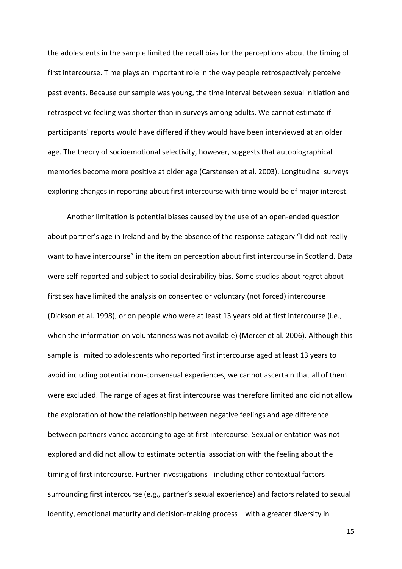the adolescents in the sample limited the recall bias for the perceptions about the timing of first intercourse. Time plays an important role in the way people retrospectively perceive past events. Because our sample was young, the time interval between sexual initiation and retrospective feeling was shorter than in surveys among adults. We cannot estimate if participants' reports would have differed if they would have been interviewed at an older age. The theory of socioemotional selectivity, however, suggests that autobiographical memories become more positive at older age (Carstensen et al. 2003). Longitudinal surveys exploring changes in reporting about first intercourse with time would be of major interest.

Another limitation is potential biases caused by the use of an open-ended question about partner's age in Ireland and by the absence of the response category "I did not really want to have intercourse" in the item on perception about first intercourse in Scotland. Data were self-reported and subject to social desirability bias. Some studies about regret about first sex have limited the analysis on consented or voluntary (not forced) intercourse (Dickson et al. 1998), or on people who were at least 13 years old at first intercourse (i.e., when the information on voluntariness was not available) (Mercer et al. 2006). Although this sample is limited to adolescents who reported first intercourse aged at least 13 years to avoid including potential non-consensual experiences, we cannot ascertain that all of them were excluded. The range of ages at first intercourse was therefore limited and did not allow the exploration of how the relationship between negative feelings and age difference between partners varied according to age at first intercourse. Sexual orientation was not explored and did not allow to estimate potential association with the feeling about the timing of first intercourse. Further investigations - including other contextual factors surrounding first intercourse (e.g., partner's sexual experience) and factors related to sexual identity, emotional maturity and decision-making process – with a greater diversity in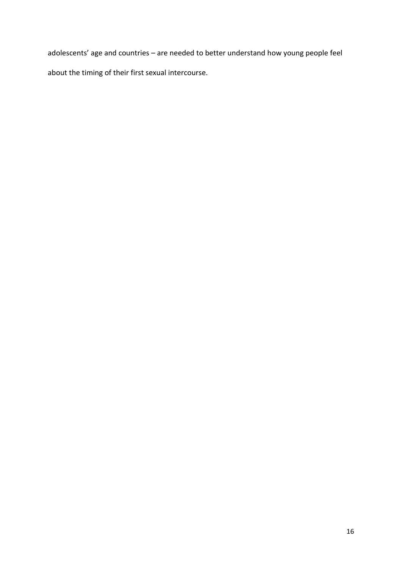adolescents' age and countries – are needed to better understand how young people feel about the timing of their first sexual intercourse.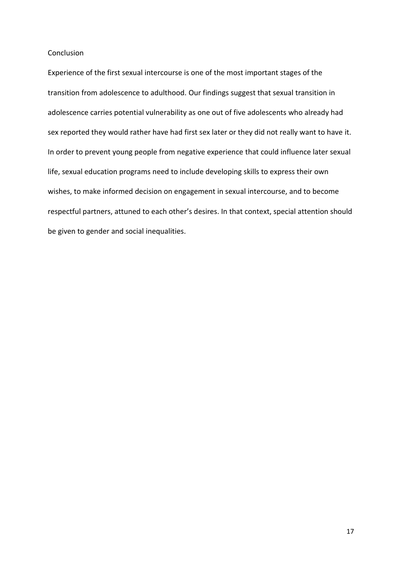#### Conclusion

Experience of the first sexual intercourse is one of the most important stages of the transition from adolescence to adulthood. Our findings suggest that sexual transition in adolescence carries potential vulnerability as one out of five adolescents who already had sex reported they would rather have had first sex later or they did not really want to have it. In order to prevent young people from negative experience that could influence later sexual life, sexual education programs need to include developing skills to express their own wishes, to make informed decision on engagement in sexual intercourse, and to become respectful partners, attuned to each other's desires. In that context, special attention should be given to gender and social inequalities.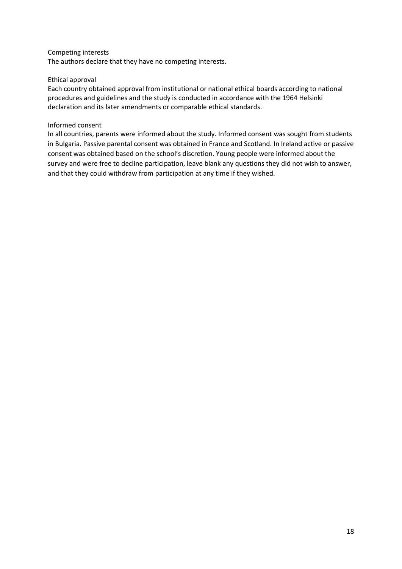#### Competing interests

The authors declare that they have no competing interests.

#### Ethical approval

Each country obtained approval from institutional or national ethical boards according to national procedures and guidelines and the study is conducted in accordance with the 1964 Helsinki declaration and its later amendments or comparable ethical standards.

#### Informed consent

In all countries, parents were informed about the study. Informed consent was sought from students in Bulgaria. Passive parental consent was obtained in France and Scotland. In Ireland active or passive consent was obtained based on the school's discretion. Young people were informed about the survey and were free to decline participation, leave blank any questions they did not wish to answer, and that they could withdraw from participation at any time if they wished.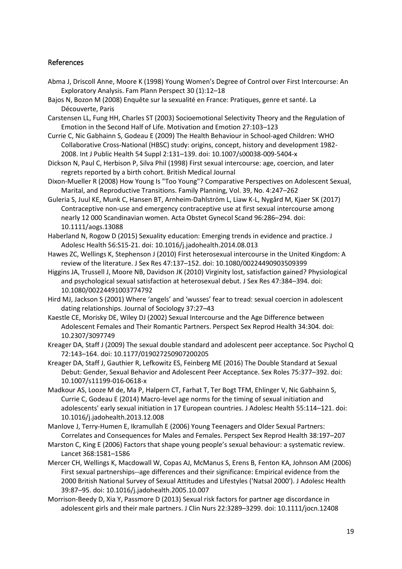## References

- Abma J, Driscoll Anne, Moore K (1998) Young Women's Degree of Control over First Intercourse: An Exploratory Analysis. Fam Plann Perspect 30 (1):12–18
- Bajos N, Bozon M (2008) Enquête sur la sexualité en France: Pratiques, genre et santé. La Découverte, Paris
- Carstensen LL, Fung HH, Charles ST (2003) Socioemotional Selectivity Theory and the Regulation of Emotion in the Second Half of Life. Motivation and Emotion 27:103–123
- Currie C, Nic Gabhainn S, Godeau E (2009) The Health Behaviour in School-aged Children: WHO Collaborative Cross-National (HBSC) study: origins, concept, history and development 1982- 2008. Int J Public Health 54 Suppl 2:131–139. doi: 10.1007/s00038-009-5404-x
- Dickson N, Paul C, Herbison P, Silva Phil (1998) First sexual intercourse: age, coercion, and later regrets reported by a birth cohort. British Medical Journal
- Dixon-Mueller R (2008) How Young Is "Too Young"? Comparative Perspectives on Adolescent Sexual, Marital, and Reproductive Transitions. Family Planning, Vol. 39, No. 4:247–262
- Guleria S, Juul KE, Munk C, Hansen BT, Arnheim-Dahlström L, Liaw K-L, Nygård M, Kjaer SK (2017) Contraceptive non-use and emergency contraceptive use at first sexual intercourse among nearly 12 000 Scandinavian women. Acta Obstet Gynecol Scand 96:286–294. doi: 10.1111/aogs.13088
- Haberland N, Rogow D (2015) Sexuality education: Emerging trends in evidence and practice. J Adolesc Health 56:S15-21. doi: 10.1016/j.jadohealth.2014.08.013
- Hawes ZC, Wellings K, Stephenson J (2010) First heterosexual intercourse in the United Kingdom: A review of the literature. J Sex Res 47:137–152. doi: 10.1080/00224490903509399
- Higgins JA, Trussell J, Moore NB, Davidson JK (2010) Virginity lost, satisfaction gained? Physiological and psychological sexual satisfaction at heterosexual debut. J Sex Res 47:384–394. doi: 10.1080/00224491003774792
- Hird MJ, Jackson S (2001) Where 'angels' and 'wusses' fear to tread: sexual coercion in adolescent dating relationships. Journal of Sociology 37:27–43
- Kaestle CE, Morisky DE, Wiley DJ (2002) Sexual Intercourse and the Age Difference between Adolescent Females and Their Romantic Partners. Perspect Sex Reprod Health 34:304. doi: 10.2307/3097749
- Kreager DA, Staff J (2009) The sexual double standard and adolescent peer acceptance. Soc Psychol Q 72:143–164. doi: 10.1177/019027250907200205
- Kreager DA, Staff J, Gauthier R, Lefkowitz ES, Feinberg ME (2016) The Double Standard at Sexual Debut: Gender, Sexual Behavior and Adolescent Peer Acceptance. Sex Roles 75:377–392. doi: 10.1007/s11199-016-0618-x
- Madkour AS, Looze M de, Ma P, Halpern CT, Farhat T, Ter Bogt TFM, Ehlinger V, Nic Gabhainn S, Currie C, Godeau E (2014) Macro-level age norms for the timing of sexual initiation and adolescents' early sexual initiation in 17 European countries. J Adolesc Health 55:114–121. doi: 10.1016/j.jadohealth.2013.12.008
- Manlove J, Terry-Humen E, Ikramullah E (2006) Young Teenagers and Older Sexual Partners: Correlates and Consequences for Males and Females. Perspect Sex Reprod Health 38:197–207
- Marston C, King E (2006) Factors that shape young people's sexual behaviour: a systematic review. Lancet 368:1581–1586
- Mercer CH, Wellings K, Macdowall W, Copas AJ, McManus S, Erens B, Fenton KA, Johnson AM (2006) First sexual partnerships--age differences and their significance: Empirical evidence from the 2000 British National Survey of Sexual Attitudes and Lifestyles ('Natsal 2000'). J Adolesc Health 39:87–95. doi: 10.1016/j.jadohealth.2005.10.007
- Morrison-Beedy D, Xia Y, Passmore D (2013) Sexual risk factors for partner age discordance in adolescent girls and their male partners. J Clin Nurs 22:3289–3299. doi: 10.1111/jocn.12408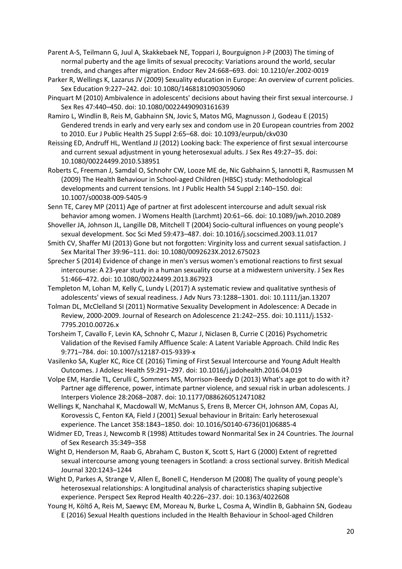Parent A-S, Teilmann G, Juul A, Skakkebaek NE, Toppari J, Bourguignon J-P (2003) The timing of normal puberty and the age limits of sexual precocity: Variations around the world, secular trends, and changes after migration. Endocr Rev 24:668–693. doi: 10.1210/er.2002-0019

- Parker R, Wellings K, Lazarus JV (2009) Sexuality education in Europe: An overview of current policies. Sex Education 9:227–242. doi: 10.1080/14681810903059060
- Pinquart M (2010) Ambivalence in adolescents' decisions about having their first sexual intercourse. J Sex Res 47:440–450. doi: 10.1080/00224490903161639
- Ramiro L, Windlin B, Reis M, Gabhainn SN, Jovic S, Matos MG, Magnusson J, Godeau E (2015) Gendered trends in early and very early sex and condom use in 20 European countries from 2002 to 2010. Eur J Public Health 25 Suppl 2:65–68. doi: 10.1093/eurpub/ckv030
- Reissing ED, Andruff HL, Wentland JJ (2012) Looking back: The experience of first sexual intercourse and current sexual adjustment in young heterosexual adults. J Sex Res 49:27–35. doi: 10.1080/00224499.2010.538951
- Roberts C, Freeman J, Samdal O, Schnohr CW, Looze ME de, Nic Gabhainn S, Iannotti R, Rasmussen M (2009) The Health Behaviour in School-aged Children (HBSC) study: Methodological developments and current tensions. Int J Public Health 54 Suppl 2:140–150. doi: 10.1007/s00038-009-5405-9
- Senn TE, Carey MP (2011) Age of partner at first adolescent intercourse and adult sexual risk behavior among women. J Womens Health (Larchmt) 20:61–66. doi: 10.1089/jwh.2010.2089
- Shoveller JA, Johnson JL, Langille DB, Mitchell T (2004) Socio-cultural influences on young people's sexual development. Soc Sci Med 59:473–487. doi: 10.1016/j.socscimed.2003.11.017
- Smith CV, Shaffer MJ (2013) Gone but not forgotten: Virginity loss and current sexual satisfaction. J Sex Marital Ther 39:96–111. doi: 10.1080/0092623X.2012.675023
- Sprecher S (2014) Evidence of change in men's versus women's emotional reactions to first sexual intercourse: A 23-year study in a human sexuality course at a midwestern university. J Sex Res 51:466–472. doi: 10.1080/00224499.2013.867923
- Templeton M, Lohan M, Kelly C, Lundy L (2017) A systematic review and qualitative synthesis of adolescents' views of sexual readiness. J Adv Nurs 73:1288–1301. doi: 10.1111/jan.13207
- Tolman DL, McClelland SI (2011) Normative Sexuality Development in Adolescence: A Decade in Review, 2000-2009. Journal of Research on Adolescence 21:242–255. doi: 10.1111/j.1532- 7795.2010.00726.x
- Torsheim T, Cavallo F, Levin KA, Schnohr C, Mazur J, Niclasen B, Currie C (2016) Psychometric Validation of the Revised Family Affluence Scale: A Latent Variable Approach. Child Indic Res 9:771–784. doi: 10.1007/s12187-015-9339-x
- Vasilenko SA, Kugler KC, Rice CE (2016) Timing of First Sexual Intercourse and Young Adult Health Outcomes. J Adolesc Health 59:291–297. doi: 10.1016/j.jadohealth.2016.04.019
- Volpe EM, Hardie TL, Cerulli C, Sommers MS, Morrison-Beedy D (2013) What's age got to do with it? Partner age difference, power, intimate partner violence, and sexual risk in urban adolescents. J Interpers Violence 28:2068–2087. doi: 10.1177/0886260512471082
- Wellings K, Nanchahal K, Macdowall W, McManus S, Erens B, Mercer CH, Johnson AM, Copas AJ, Korovessis C, Fenton KA, Field J (2001) Sexual behaviour in Britain: Early heterosexual experience. The Lancet 358:1843–1850. doi: 10.1016/S0140-6736(01)06885-4
- Widmer ED, Treas J, Newcomb R (1998) Attitudes toward Nonmarital Sex in 24 Countries. The Journal of Sex Research 35:349–358
- Wight D, Henderson M, Raab G, Abraham C, Buston K, Scott S, Hart G (2000) Extent of regretted sexual intercourse among young teenagers in Scotland: a cross sectional survey. British Medical Journal 320:1243–1244
- Wight D, Parkes A, Strange V, Allen E, Bonell C, Henderson M (2008) The quality of young people's heterosexual relationships: A longitudinal analysis of characteristics shaping subjective experience. Perspect Sex Reprod Health 40:226–237. doi: 10.1363/4022608
- Young H, Költő A, Reis M, Saewyc EM, Moreau N, Burke L, Cosma A, Windlin B, Gabhainn SN, Godeau E (2016) Sexual Health questions included in the Health Behaviour in School-aged Children